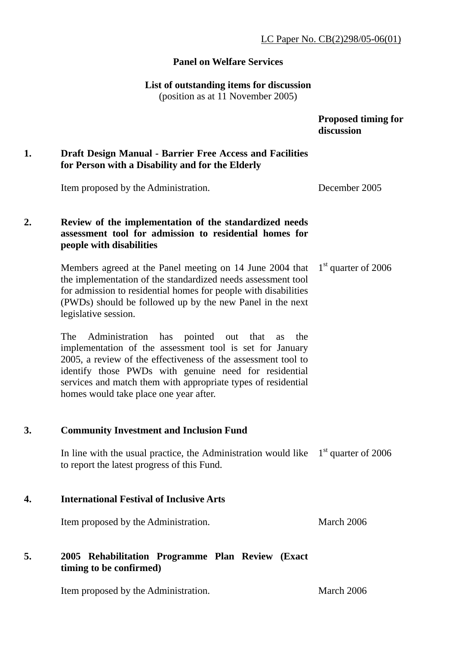### LC Paper No. CB(2)298/05-06(01)

#### **Panel on Welfare Services**

#### **List of outstanding items for discussion**

(position as at 11 November 2005)

 **Proposed timing for discussion** 

# **1. Draft Design Manual - Barrier Free Access and Facilities for Person with a Disability and for the Elderly**

Item proposed by the Administration. December 2005

# **2. Review of the implementation of the standardized needs assessment tool for admission to residential homes for people with disabilities**

Members agreed at the Panel meeting on 14 June 2004 that the implementation of the standardized needs assessment tool for admission to residential homes for people with disabilities (PWDs) should be followed up by the new Panel in the next legislative session. 1<sup>st</sup> quarter of 2006

The Administration has pointed out that as the implementation of the assessment tool is set for January 2005, a review of the effectiveness of the assessment tool to identify those PWDs with genuine need for residential services and match them with appropriate types of residential homes would take place one year after.

### **3. Community Investment and Inclusion Fund**

In line with the usual practice, the Administration would like  $1<sup>st</sup>$  quarter of 2006 to report the latest progress of this Fund.

### **4. International Festival of Inclusive Arts**

Item proposed by the Administration. March 2006

# **5. 2005 Rehabilitation Programme Plan Review (Exact timing to be confirmed)**

Item proposed by the Administration. March 2006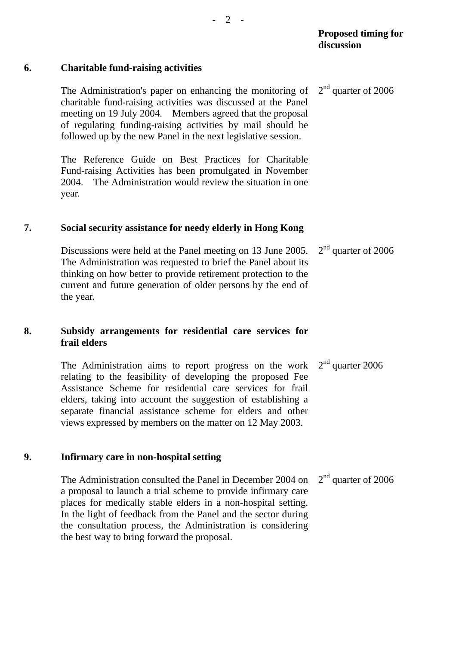# **6. Charitable fund-raising activities**

The Administration's paper on enhancing the monitoring of charitable fund-raising activities was discussed at the Panel meeting on 19 July 2004. Members agreed that the proposal of regulating funding-raising activities by mail should be followed up by the new Panel in the next legislative session. 2<sup>nd</sup> quarter of 2006

The Reference Guide on Best Practices for Charitable Fund-raising Activities has been promulgated in November 2004. The Administration would review the situation in one year.

### **7. Social security assistance for needy elderly in Hong Kong**

Discussions were held at the Panel meeting on 13 June 2005. The Administration was requested to brief the Panel about its thinking on how better to provide retirement protection to the current and future generation of older persons by the end of the year. 2<sup>nd</sup> quarter of 2006

# **8. Subsidy arrangements for residential care services for frail elders**

The Administration aims to report progress on the work relating to the feasibility of developing the proposed Fee Assistance Scheme for residential care services for frail elders, taking into account the suggestion of establishing a separate financial assistance scheme for elders and other views expressed by members on the matter on 12 May 2003.  $2<sup>nd</sup>$  quarter 2006

## **9. Infirmary care in non-hospital setting**

The Administration consulted the Panel in December 2004 on a proposal to launch a trial scheme to provide infirmary care places for medically stable elders in a non-hospital setting. In the light of feedback from the Panel and the sector during the consultation process, the Administration is considering the best way to bring forward the proposal. 2<sup>nd</sup> quarter of 2006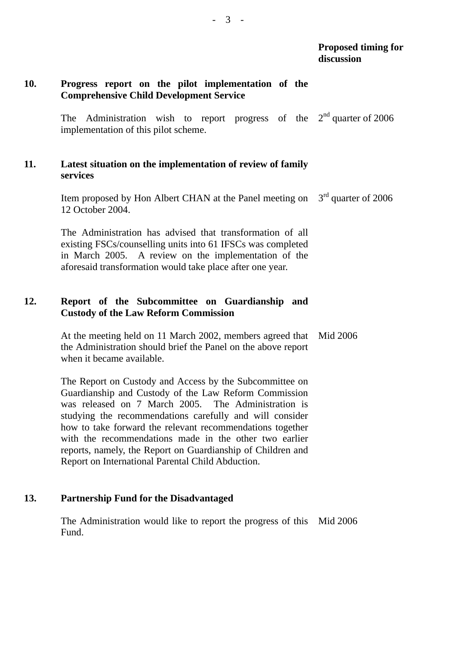# **10. Progress report on the pilot implementation of the Comprehensive Child Development Service**

The Administration wish to report progress of the  $2<sup>nd</sup>$  quarter of 2006 implementation of this pilot scheme.

# **11. Latest situation on the implementation of review of family services**

Item proposed by Hon Albert CHAN at the Panel meeting on  $3<sup>rd</sup>$  quarter of 2006 12 October 2004.

The Administration has advised that transformation of all existing FSCs/counselling units into 61 IFSCs was completed in March 2005. A review on the implementation of the aforesaid transformation would take place after one year.

# **12. Report of the Subcommittee on Guardianship and Custody of the Law Reform Commission**

At the meeting held on 11 March 2002, members agreed that the Administration should brief the Panel on the above report when it became available. Mid 2006

The Report on Custody and Access by the Subcommittee on Guardianship and Custody of the Law Reform Commission was released on 7 March 2005. The Administration is studying the recommendations carefully and will consider how to take forward the relevant recommendations together with the recommendations made in the other two earlier reports, namely, the Report on Guardianship of Children and Report on International Parental Child Abduction.

### **13. Partnership Fund for the Disadvantaged**

The Administration would like to report the progress of this Mid 2006 Fund.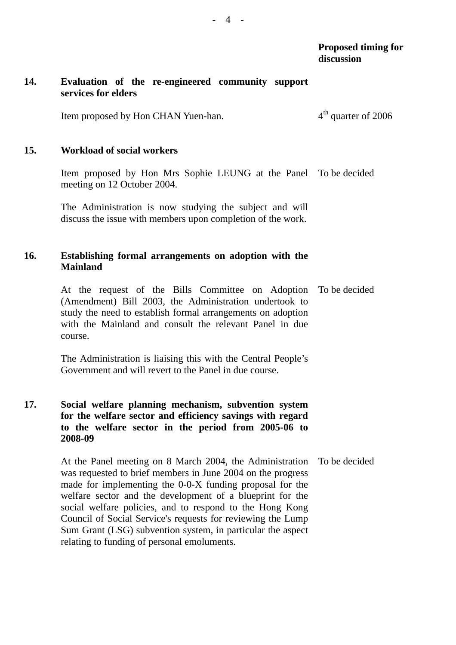### **14. Evaluation of the re-engineered community support services for elders**

Item proposed by Hon CHAN Yuen-han.  $4<sup>th</sup>$  quarter of 2006

### **15. Workload of social workers**

Item proposed by Hon Mrs Sophie LEUNG at the Panel To be decided meeting on 12 October 2004.

The Administration is now studying the subject and will discuss the issue with members upon completion of the work.

# **16. Establishing formal arrangements on adoption with the Mainland**

At the request of the Bills Committee on Adoption (Amendment) Bill 2003, the Administration undertook to study the need to establish formal arrangements on adoption with the Mainland and consult the relevant Panel in due course. To be decided

The Administration is liaising this with the Central People's Government and will revert to the Panel in due course.

# **17. Social welfare planning mechanism, subvention system for the welfare sector and efficiency savings with regard to the welfare sector in the period from 2005-06 to 2008-09**

At the Panel meeting on 8 March 2004, the Administration was requested to brief members in June 2004 on the progress made for implementing the 0-0-X funding proposal for the welfare sector and the development of a blueprint for the social welfare policies, and to respond to the Hong Kong Council of Social Service's requests for reviewing the Lump Sum Grant (LSG) subvention system, in particular the aspect relating to funding of personal emoluments. To be decided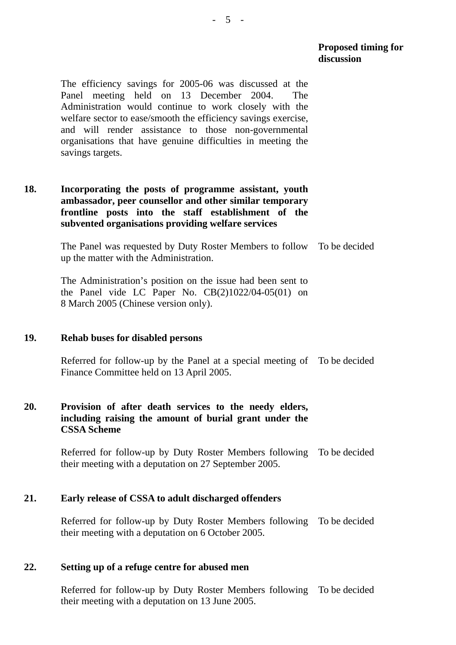**Proposed timing for discussion** 

The efficiency savings for 2005-06 was discussed at the Panel meeting held on 13 December 2004. The Administration would continue to work closely with the welfare sector to ease/smooth the efficiency savings exercise, and will render assistance to those non-governmental organisations that have genuine difficulties in meeting the savings targets.

# **18. Incorporating the posts of programme assistant, youth ambassador, peer counsellor and other similar temporary frontline posts into the staff establishment of the subvented organisations providing welfare services**

The Panel was requested by Duty Roster Members to follow To be decided up the matter with the Administration.

The Administration's position on the issue had been sent to the Panel vide LC Paper No.  $CB(2)1022/04-05(01)$  on 8 March 2005 (Chinese version only).

### **19. Rehab buses for disabled persons**

Referred for follow-up by the Panel at a special meeting of To be decided Finance Committee held on 13 April 2005.

# **20. Provision of after death services to the needy elders, including raising the amount of burial grant under the CSSA Scheme**

Referred for follow-up by Duty Roster Members following their meeting with a deputation on 27 September 2005. To be decided

### **21. Early release of CSSA to adult discharged offenders**

Referred for follow-up by Duty Roster Members following To be decided their meeting with a deputation on 6 October 2005.

### **22. Setting up of a refuge centre for abused men**

Referred for follow-up by Duty Roster Members following To be decided their meeting with a deputation on 13 June 2005.